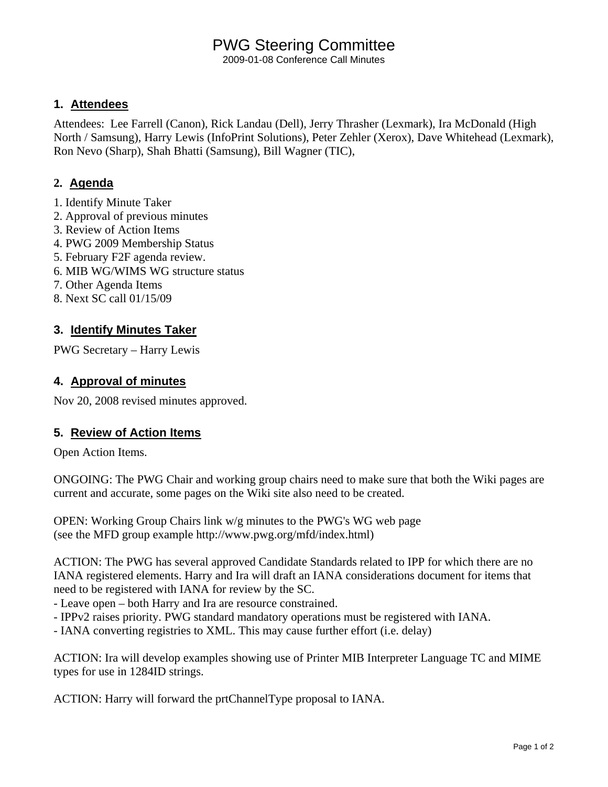# PWG Steering Committee

2009-01-08 Conference Call Minutes

### **1. Attendees**

Attendees: Lee Farrell (Canon), Rick Landau (Dell), Jerry Thrasher (Lexmark), Ira McDonald (High North / Samsung), Harry Lewis (InfoPrint Solutions), Peter Zehler (Xerox), Dave Whitehead (Lexmark), Ron Nevo (Sharp), Shah Bhatti (Samsung), Bill Wagner (TIC),

## **2. Agenda**

- 1. Identify Minute Taker
- 2. Approval of previous minutes
- 3. Review of Action Items
- 4. PWG 2009 Membership Status
- 5. February F2F agenda review.
- 6. MIB WG/WIMS WG structure status
- 7. Other Agenda Items
- 8. Next SC call 01/15/09

## **3. Identify Minutes Taker**

PWG Secretary – Harry Lewis

## **4. Approval of minutes**

Nov 20, 2008 revised minutes approved.

### **5. Review of Action Items**

Open Action Items.

ONGOING: The PWG Chair and working group chairs need to make sure that both the Wiki pages are current and accurate, some pages on the Wiki site also need to be created.

OPEN: Working Group Chairs link w/g minutes to the PWG's WG web page (see the MFD group example http://www.pwg.org/mfd/index.html)

ACTION: The PWG has several approved Candidate Standards related to IPP for which there are no IANA registered elements. Harry and Ira will draft an IANA considerations document for items that need to be registered with IANA for review by the SC.

- Leave open – both Harry and Ira are resource constrained.

- IPPv2 raises priority. PWG standard mandatory operations must be registered with IANA.
- IANA converting registries to XML. This may cause further effort (i.e. delay)

ACTION: Ira will develop examples showing use of Printer MIB Interpreter Language TC and MIME types for use in 1284ID strings.

ACTION: Harry will forward the prtChannelType proposal to IANA.